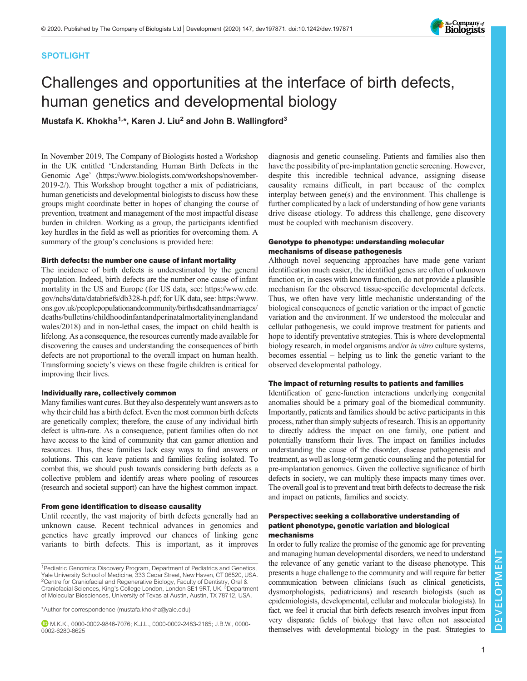## SPOTLIGHT

## The Company of<br>**Biologists**

# Challenges and opportunities at the interface of birth defects, human genetics and developmental biology

Mustafa K. Khokha<sup>1,\*</sup>, Karen J. Liu<sup>2</sup> and John B. Wallingford<sup>3</sup>

In November 2019, The Company of Biologists hosted a Workshop in the UK entitled 'Understanding Human Birth Defects in the Genomic Age' ([https://www.biologists.com/workshops/november-](https://www.biologists.com/workshops/november-2019-2/)[2019-2/\)](https://www.biologists.com/workshops/november-2019-2/). This Workshop brought together a mix of pediatricians, human geneticists and developmental biologists to discuss how these groups might coordinate better in hopes of changing the course of prevention, treatment and management of the most impactful disease burden in children. Working as a group, the participants identified key hurdles in the field as well as priorities for overcoming them. A summary of the group's conclusions is provided here:

#### Birth defects: the number one cause of infant mortality

The incidence of birth defects is underestimated by the general population. Indeed, birth defects are the number one cause of infant mortality in the US and Europe (for US data, see: [https://www.cdc.](https://www.cdc.gov/nchs/data/databriefs/db328-h.pdf) [gov/nchs/data/databriefs/db328-h.pdf](https://www.cdc.gov/nchs/data/databriefs/db328-h.pdf); for UK data, see: [https://www.](https://www.ons.gov.uk/peoplepopulationandcommunity/birthsdeathsandmarriages/deaths/bulletins/childhoodinfantandperinatalmortalityinenglandandwales/2018) [ons.gov.uk/peoplepopulationandcommunity/birthsdeathsandmarriages/](https://www.ons.gov.uk/peoplepopulationandcommunity/birthsdeathsandmarriages/deaths/bulletins/childhoodinfantandperinatalmortalityinenglandandwales/2018) [deaths/bulletins/childhoodinfantandperinatalmortalityinenglandand](https://www.ons.gov.uk/peoplepopulationandcommunity/birthsdeathsandmarriages/deaths/bulletins/childhoodinfantandperinatalmortalityinenglandandwales/2018) [wales/2018\)](https://www.ons.gov.uk/peoplepopulationandcommunity/birthsdeathsandmarriages/deaths/bulletins/childhoodinfantandperinatalmortalityinenglandandwales/2018) and in non-lethal cases, the impact on child health is lifelong. As a consequence, the resources currently made available for discovering the causes and understanding the consequences of birth defects are not proportional to the overall impact on human health. Transforming society's views on these fragile children is critical for improving their lives.

#### Individually rare, collectively common

Many families want cures. But they also desperately want answers as to why their child has a birth defect. Even the most common birth defects are genetically complex; therefore, the cause of any individual birth defect is ultra-rare. As a consequence, patient families often do not have access to the kind of community that can garner attention and resources. Thus, these families lack easy ways to find answers or solutions. This can leave patients and families feeling isolated. To combat this, we should push towards considering birth defects as a collective problem and identify areas where pooling of resources (research and societal support) can have the highest common impact.

#### From gene identification to disease causality

Until recently, the vast majority of birth defects generally had an unknown cause. Recent technical advances in genomics and genetics have greatly improved our chances of linking gene variants to birth defects. This is important, as it improves

\*Author for correspondence [\(mustafa.khokha@yale.edu](mailto:mustafa.khokha@yale.edu))

M.K.K., [0000-0002-9846-7076;](http://orcid.org/0000-0002-9846-7076) K.J.L., [0000-0002-2483-2165;](http://orcid.org/0000-0002-2483-2165) J.B.W., [0000-](http://orcid.org/0000-0002-6280-8625) [0002-6280-8625](http://orcid.org/0000-0002-6280-8625)

diagnosis and genetic counseling. Patients and families also then have the possibility of pre-implantation genetic screening. However, despite this incredible technical advance, assigning disease causality remains difficult, in part because of the complex interplay between gene(s) and the environment. This challenge is further complicated by a lack of understanding of how gene variants drive disease etiology. To address this challenge, gene discovery must be coupled with mechanism discovery.

### Genotype to phenotype: understanding molecular mechanisms of disease pathogenesis

Although novel sequencing approaches have made gene variant identification much easier, the identified genes are often of unknown function or, in cases with known function, do not provide a plausible mechanism for the observed tissue-specific developmental defects. Thus, we often have very little mechanistic understanding of the biological consequences of genetic variation or the impact of genetic variation and the environment. If we understood the molecular and cellular pathogenesis, we could improve treatment for patients and hope to identify preventative strategies. This is where developmental biology research, in model organisms and/or in vitro culture systems, becomes essential – helping us to link the genetic variant to the observed developmental pathology.

## The impact of returning results to patients and families

Identification of gene-function interactions underlying congenital anomalies should be a primary goal of the biomedical community. Importantly, patients and families should be active participants in this process, rather than simply subjects of research. This is an opportunity to directly address the impact on one family, one patient and potentially transform their lives. The impact on families includes understanding the cause of the disorder, disease pathogenesis and treatment, as well as long-term genetic counseling and the potential for pre-implantation genomics. Given the collective significance of birth defects in society, we can multiply these impacts many times over. The overall goal is to prevent and treat birth defects to decrease the risk and impact on patients, families and society.

## Perspective: seeking a collaborative understanding of patient phenotype, genetic variation and biological mechanisms

In order to fully realize the promise of the genomic age for preventing and managing human developmental disorders, we need to understand the relevance of any genetic variant to the disease phenotype. This presents a huge challenge to the community and will require far better communication between clinicians (such as clinical geneticists, dysmorphologists, pediatricians) and research biologists (such as epidemiologists, developmental, cellular and molecular biologists). In fact, we feel it crucial that birth defects research involves input from very disparate fields of biology that have often not associated themselves with developmental biology in the past. Strategies to

<sup>&</sup>lt;sup>1</sup> Pediatric Genomics Discovery Program, Department of Pediatrics and Genetics, Yale University School of Medicine, 333 Cedar Street, New Haven, CT 06520, USA. <sup>2</sup>Centre for Craniofacial and Regenerative Biology, Faculty of Dentistry, Oral &<br>Craniofacial Sciences, King's College London, London SE1 9RT, UK. <sup>3</sup>Department of Molecular Biosciences, University of Texas at Austin, Austin, TX 78712, USA.